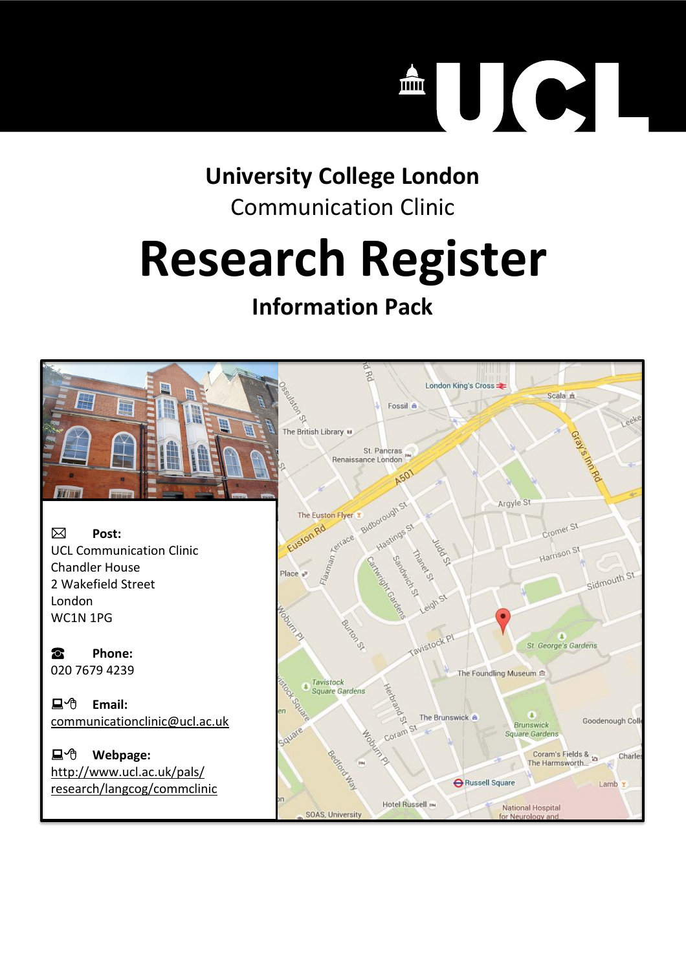#### C  $\left| \ \right|$  $\mathbf{m}$

### **University College London** Communication Clinic

# **Research Register**

# **Information Pack**

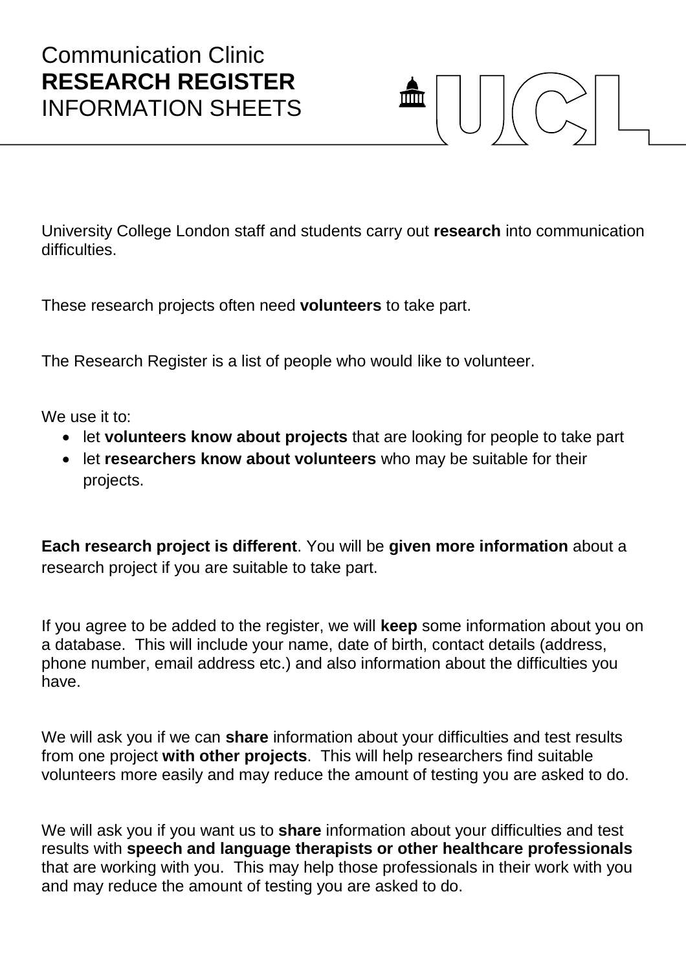

University College London staff and students carry out **research** into communication difficulties

These research projects often need **volunteers** to take part.

The Research Register is a list of people who would like to volunteer.

We use it to:

- let **volunteers know about projects** that are looking for people to take part
- let **researchers know about volunteers** who may be suitable for their projects.

**Each research project is different**. You will be **given more information** about a research project if you are suitable to take part.

If you agree to be added to the register, we will **keep** some information about you on a database. This will include your name, date of birth, contact details (address, phone number, email address etc.) and also information about the difficulties you have.

We will ask you if we can **share** information about your difficulties and test results from one project **with other projects**. This will help researchers find suitable volunteers more easily and may reduce the amount of testing you are asked to do.

We will ask you if you want us to **share** information about your difficulties and test results with **speech and language therapists or other healthcare professionals** that are working with you. This may help those professionals in their work with you and may reduce the amount of testing you are asked to do.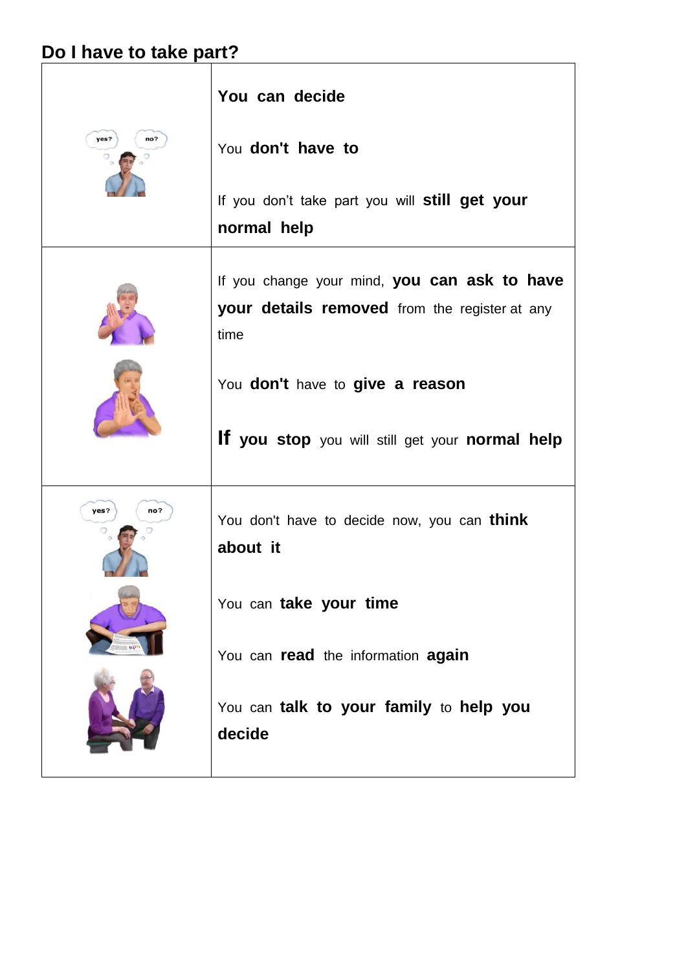# **Do I have to take part?**

| no?<br>yes?      | You can decide<br>You don't have to<br>If you don't take part you will <b>still get your</b><br>normal help                                                                                        |
|------------------|----------------------------------------------------------------------------------------------------------------------------------------------------------------------------------------------------|
|                  | If you change your mind, you can ask to have<br><b>your details removed</b> from the register at any<br>time<br>You don't have to give a reason<br>If you stop you will still get your normal help |
| yes?<br>no?<br>v | You don't have to decide now, you can think<br>about it<br>You can take your time<br>You can read the information again<br>You can talk to your family to help you<br>decide                       |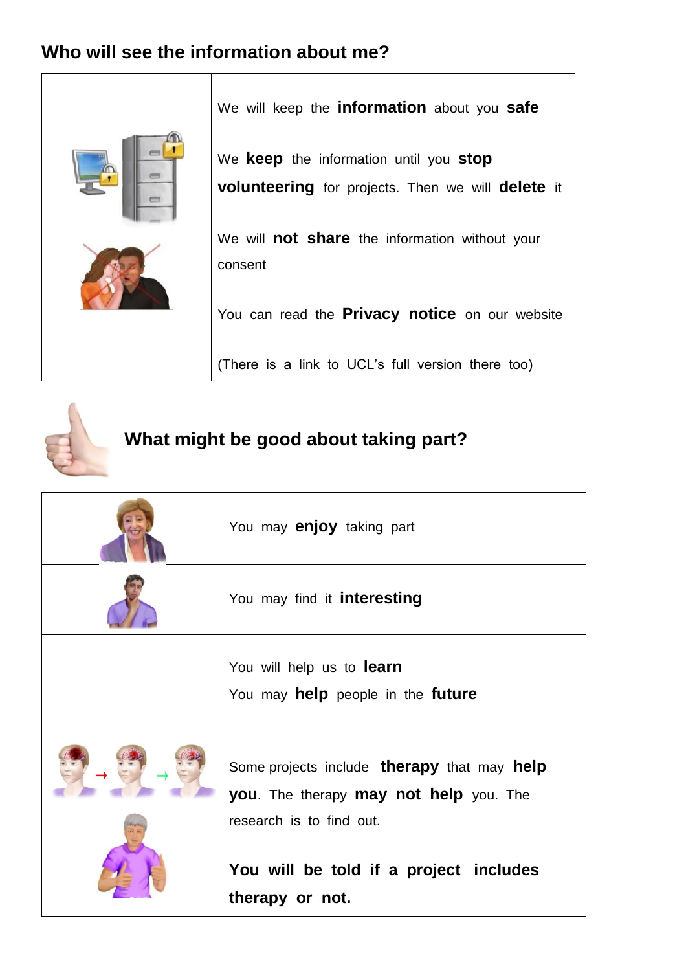

#### **What might be good about taking part?**

| You may <b>enjoy</b> taking part                                                                                                               |
|------------------------------------------------------------------------------------------------------------------------------------------------|
| You may find it interesting                                                                                                                    |
| You will help us to <b>learn</b><br>You may help people in the future                                                                          |
| Some projects include <b>therapy</b> that may <b>help</b><br><b>you</b> . The therapy <b>may not help</b> you. The<br>research is to find out. |
| You will be told if a project includes<br>therapy or not.                                                                                      |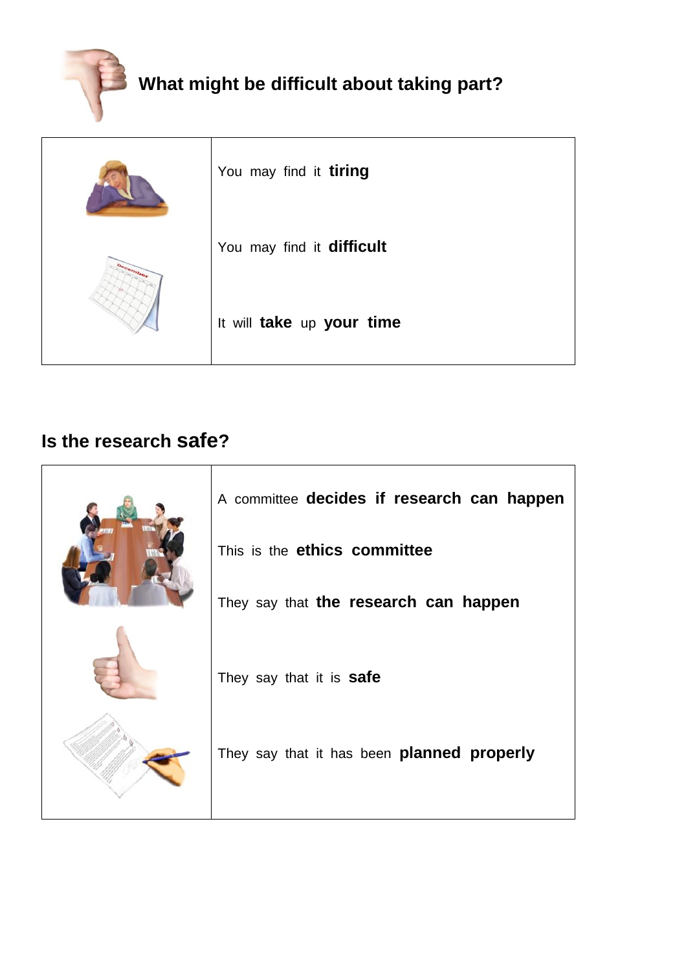

| You may find it tiring    |
|---------------------------|
| You may find it difficult |
| It will take up your time |

#### **Is the research safe?**